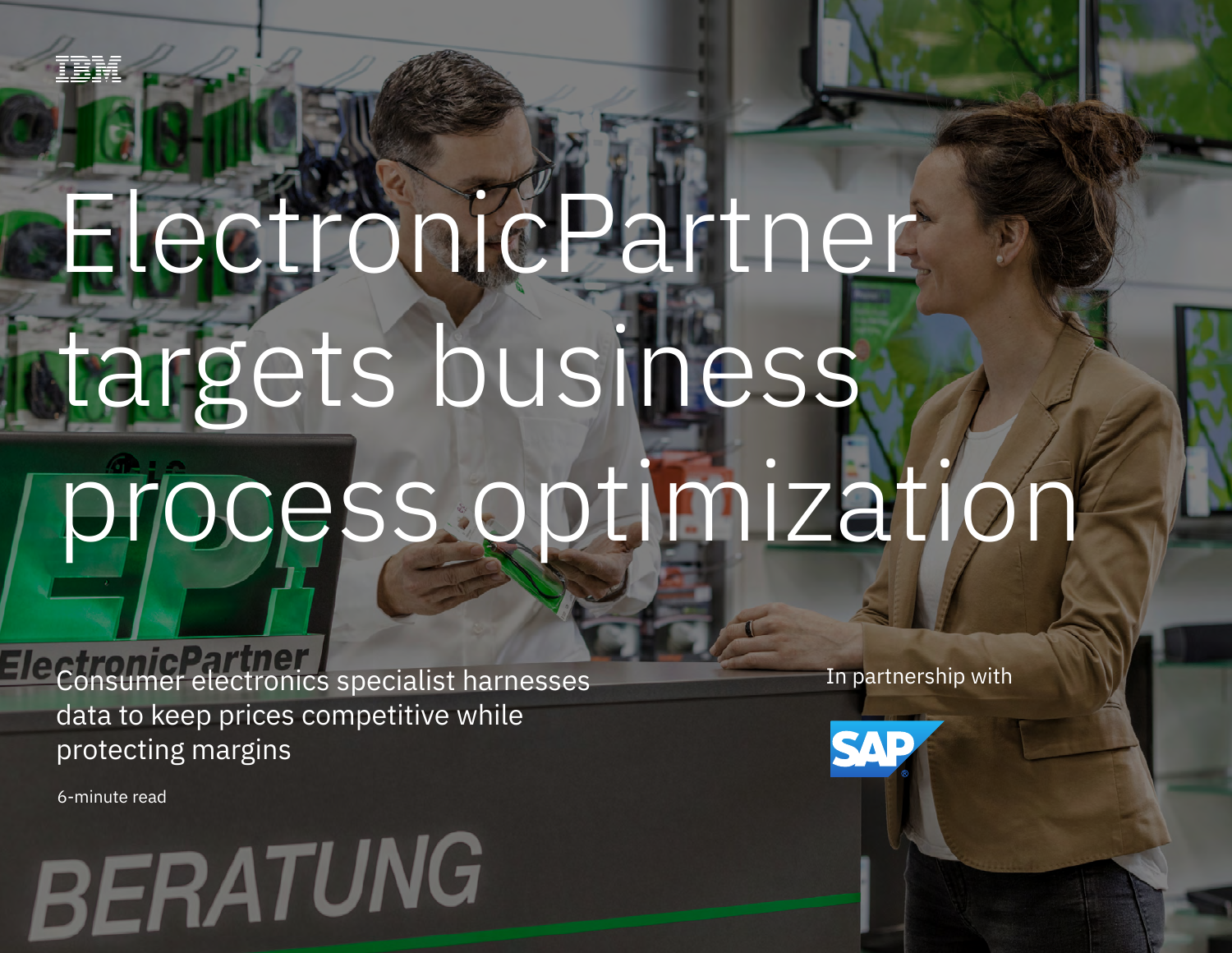# **ElectronicPartner** targets business process optimization

Consumer electronics specialist harmonics specialist harmonics and the prices competitive while protecting margins in

Consumer electronics specialist harnesses data to keep prices competitive while protecting margins

6-minute read

## **RERATUNG**

In partnership with

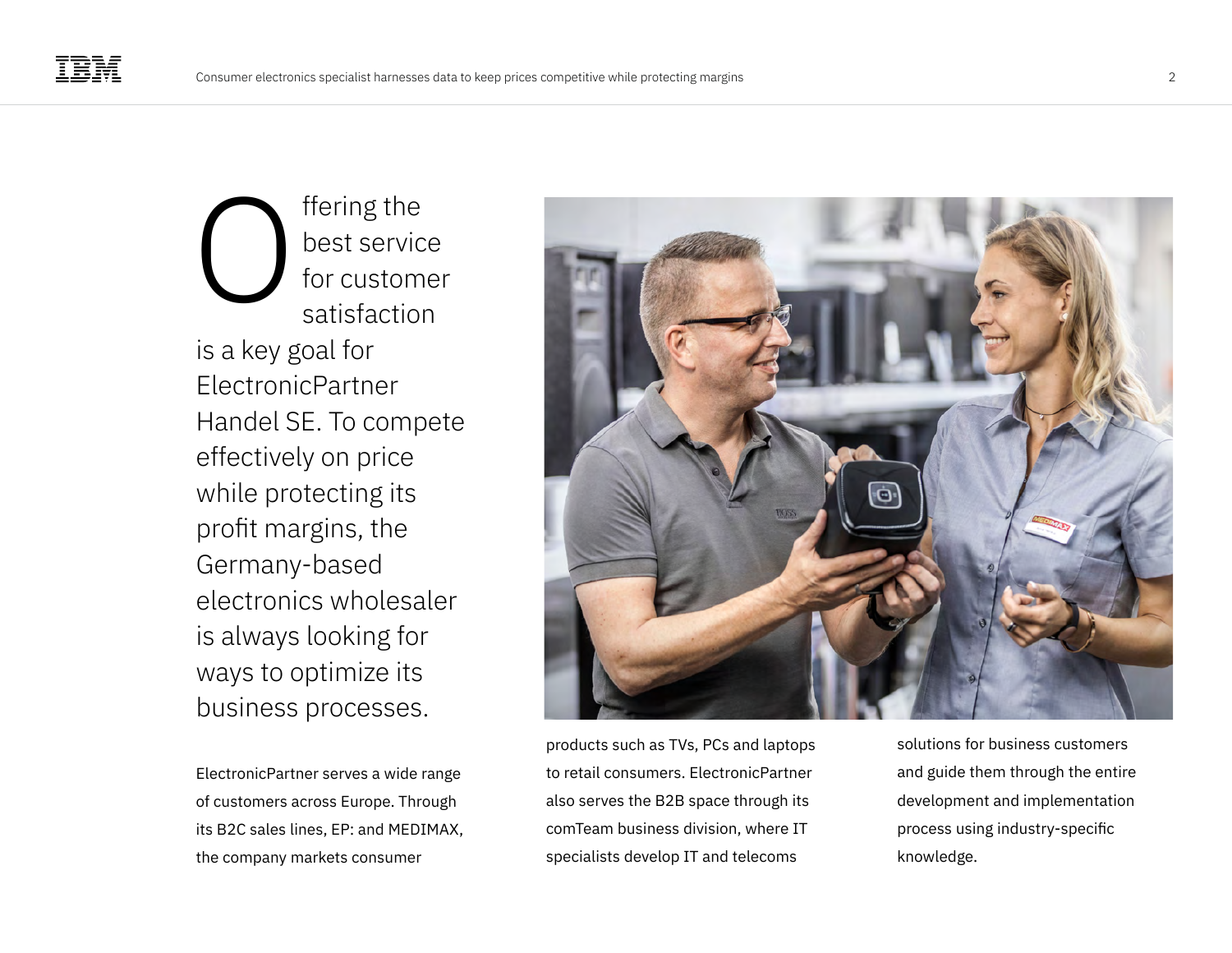ffering the best service for customer satisfaction is a key goal for ElectronicPartner Handel SE. To compete effectively on price while protecting its profit margins, the Germany-based electronics wholesaler is always looking for ways to optimize its business processes. O

ElectronicPartner serves a wide range of customers across Europe. Through its B2C sales lines, EP: and MEDIMAX, the company markets consumer



products such as TVs, PCs and laptops to retail consumers. ElectronicPartner also serves the B2B space through its comTeam business division, where IT specialists develop IT and telecoms

solutions for business customers and guide them through the entire development and implementation process using industry-specific knowledge.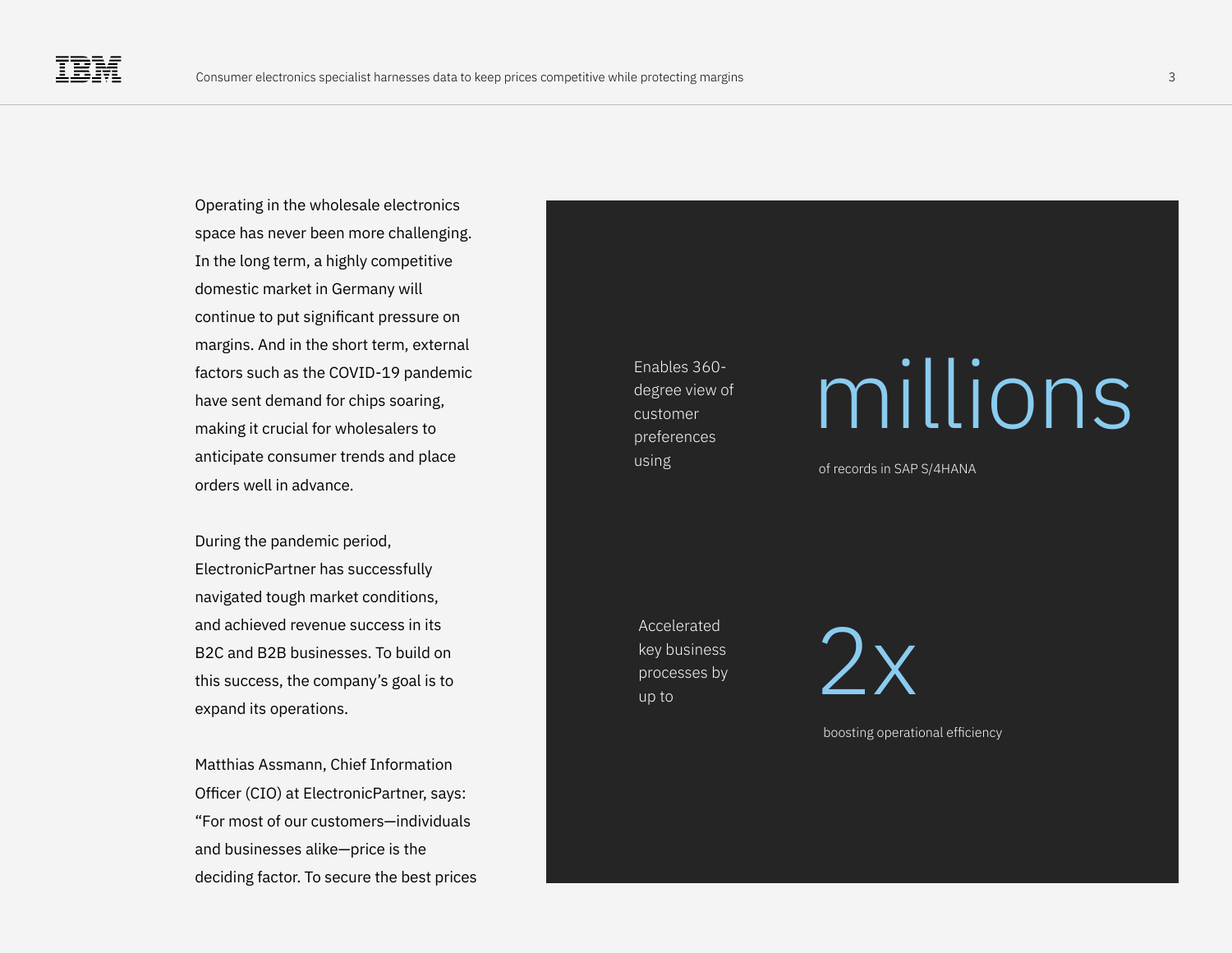Operating in the wholesale electronics space has never been more challenging. In the long term, a highly competitive domestic market in Germany will continue to put significant pressure on margins. And in the short term, external factors such as the COVID-19 pandemic have sent demand for chips soaring, making it crucial for wholesalers to anticipate consumer trends and place orders well in advance.

During the pandemic period, ElectronicPartner has successfully navigated tough market conditions, and achieved revenue success in its B2C and B2B businesses. To build on this success, the company's goal is to expand its operations.

Matthias Assmann, Chief Information Officer (CIO) at ElectronicPartner, says: "For most of our customers—individuals and businesses alike—price is the deciding factor. To secure the best prices

Enables 360 degree view of customer preferences using of records in SAP S/4HANA

### millions

Accelerated key business processes by up to



boosting operational efficiency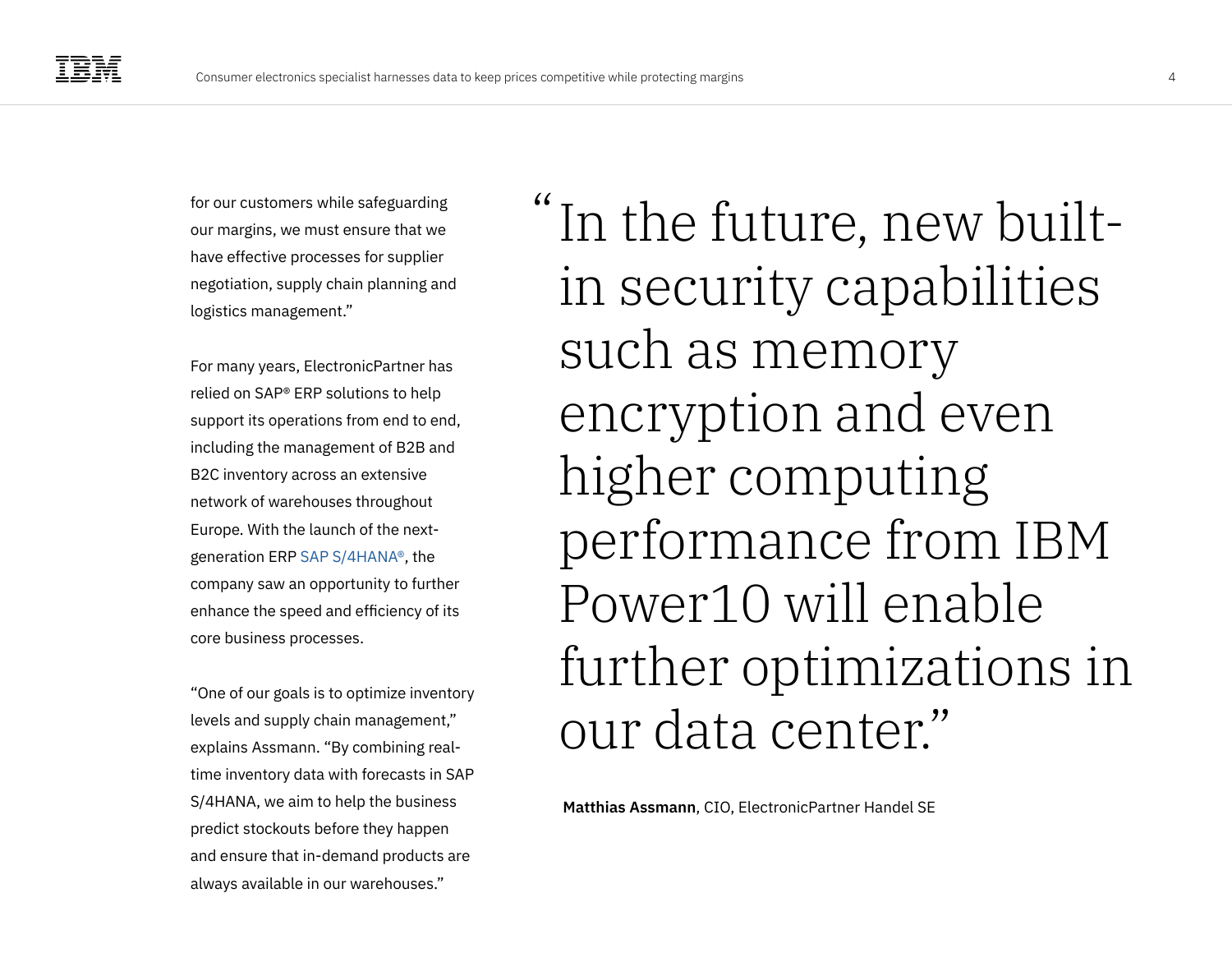for our customers while safeguarding our margins, we must ensure that we have effective processes for supplier negotiation, supply chain planning and logistics management."

For many years, ElectronicPartner has relied on SAP® ERP solutions to help support its operations from end to end, including the management of B2B and B2C inventory across an extensive network of warehouses throughout Europe. With the launch of the nextgeneration ERP [SAP S/4HANA®](https://www.ibm.com/it-infrastructure/sap-hana), the company saw an opportunity to further enhance the speed and efficiency of its core business processes.

"One of our goals is to optimize inventory levels and supply chain management," explains Assmann. "By combining realtime inventory data with forecasts in SAP S/4HANA, we aim to help the business predict stockouts before they happen and ensure that in-demand products are always available in our warehouses."

"In the future, new builtin security capabilities such as memory encryption and even higher computing performance from IBM Power10 will enable further optimizations in our data center."

**Matthias Assmann**, CIO, ElectronicPartner Handel SE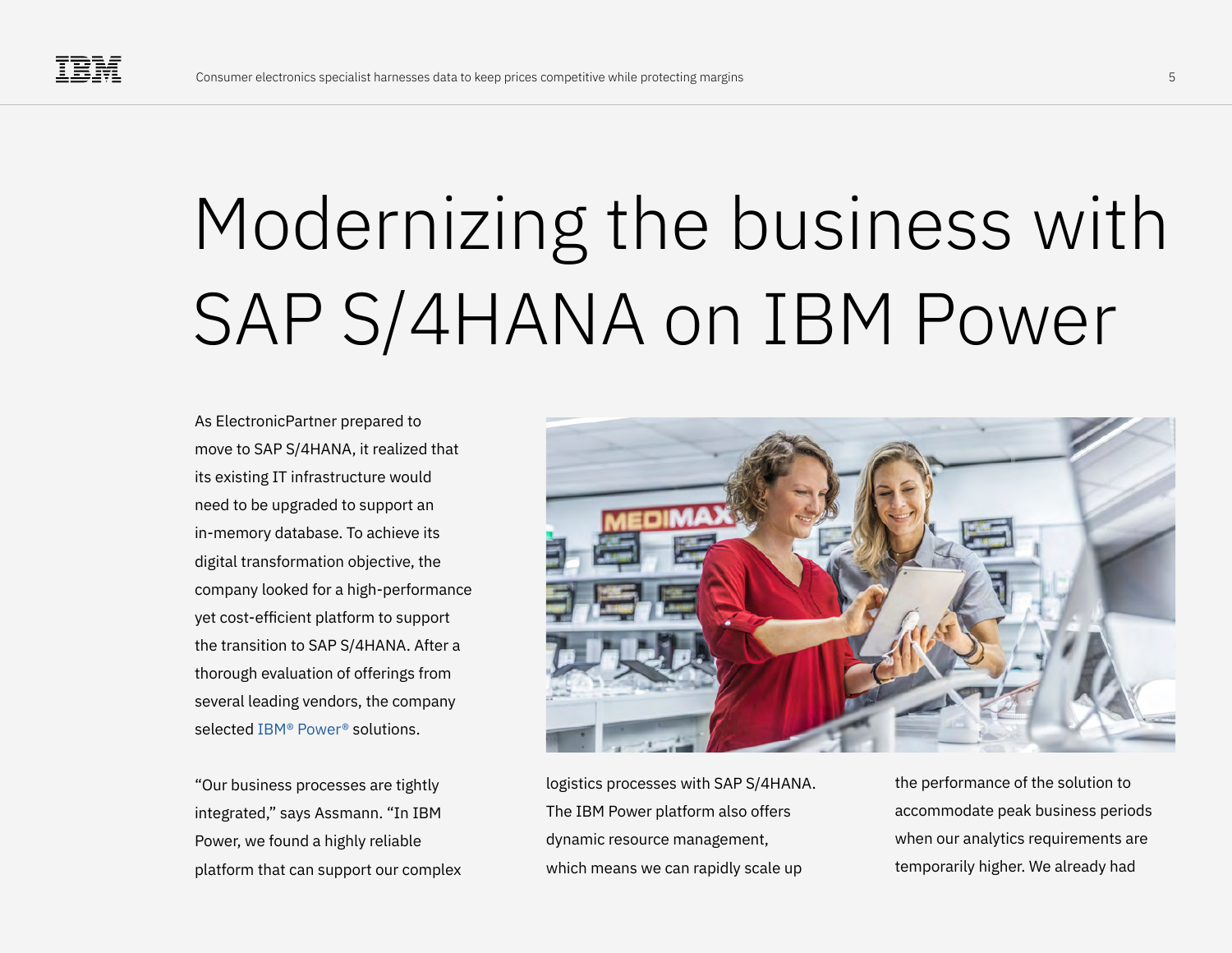### Modernizing the business with SAP S/4HANA on IBM Power

As ElectronicPartner prepared to move to SAP S/4HANA, it realized that its existing IT infrastructure would need to be upgraded to support an in-memory database. To achieve its digital transformation objective, the company looked for a high-performance yet cost-efficient platform to support the transition to SAP S/4HANA. After a thorough evaluation of offerings from several leading vendors, the company selected [IBM® Power®](https://www.ibm.com/it-infrastructure/power) solutions.

"Our business processes are tightly integrated," says Assmann. "In IBM Power, we found a highly reliable platform that can support our complex



logistics processes with SAP S/4HANA. The IBM Power platform also offers dynamic resource management, which means we can rapidly scale up

the performance of the solution to accommodate peak business periods when our analytics requirements are temporarily higher. We already had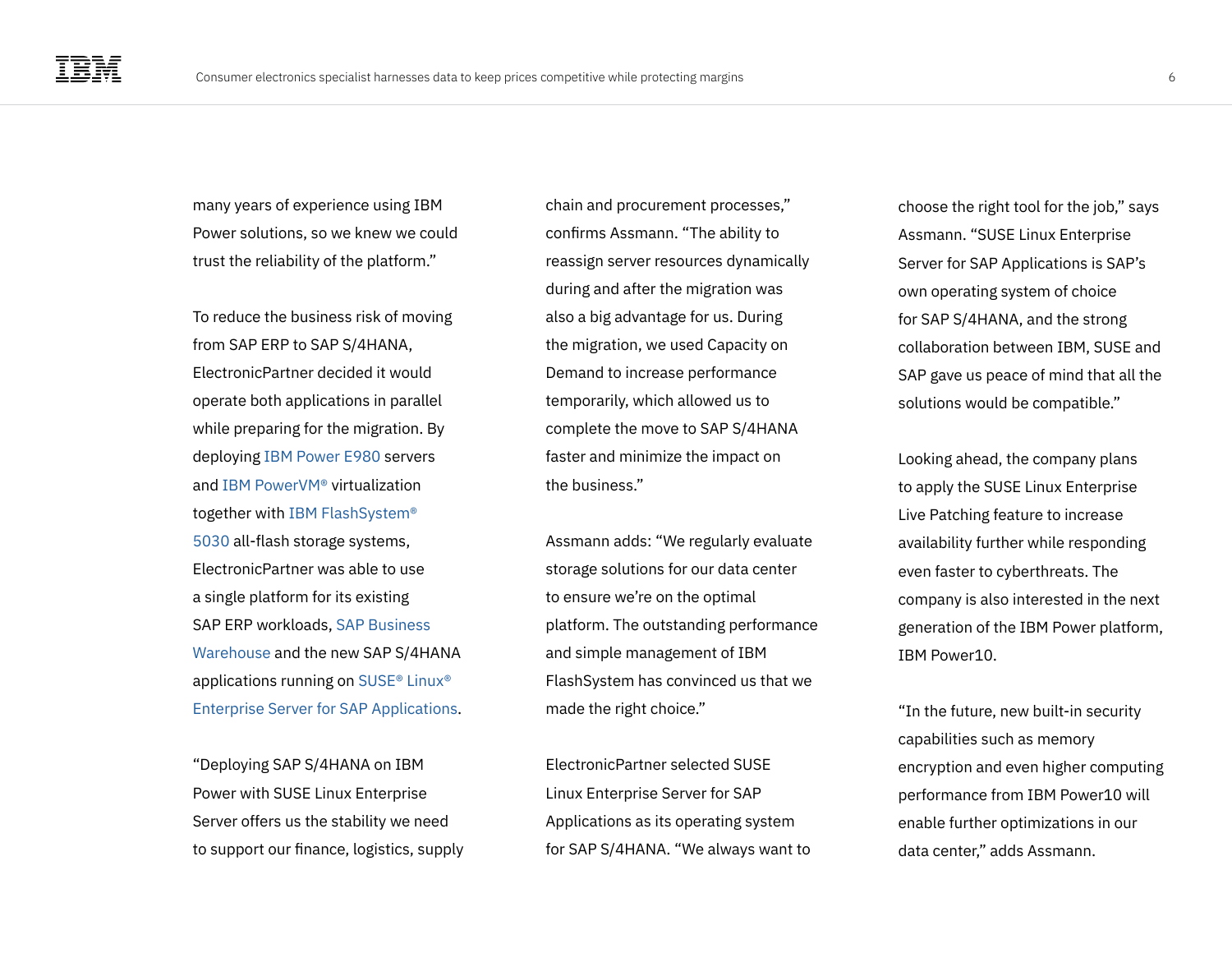many years of experience using IBM Power solutions, so we knew we could trust the reliability of the platform."

To reduce the business risk of moving from SAP ERP to SAP S/4HANA, ElectronicPartner decided it would operate both applications in parallel while preparing for the migration. By deploying [IBM Power E980](https://www.ibm.com/products/power-system-e980) servers and [IBM PowerVM®](https://www.ibm.com/products/ibm-powervm) virtualization together with [IBM FlashSystem®](https://www.ibm.com/products/flashsystem-5000)  [5030](https://www.ibm.com/products/flashsystem-5000) all-flash storage systems, ElectronicPartner was able to use a single platform for its existing SAP ERP workloads, [SAP Business](https://www.sap.com/products/bw4hana-data-warehousing.html)  [Warehouse](https://www.sap.com/products/bw4hana-data-warehousing.html) and the new SAP S/4HANA applications running on [SUSE® Linux®](https://www.suse.com/products/sles-for-sap/)  [Enterprise Server for SAP Applications](https://www.suse.com/products/sles-for-sap/).

"Deploying SAP S/4HANA on IBM Power with SUSE Linux Enterprise Server offers us the stability we need to support our finance, logistics, supply

chain and procurement processes," confirms Assmann. "The ability to reassign server resources dynamically during and after the migration was also a big advantage for us. During the migration, we used Capacity on Demand to increase performance temporarily, which allowed us to complete the move to SAP S/4HANA faster and minimize the impact on the business."

Assmann adds: "We regularly evaluate storage solutions for our data center to ensure we're on the optimal platform. The outstanding performance and simple management of IBM FlashSystem has convinced us that we made the right choice."

ElectronicPartner selected SUSE Linux Enterprise Server for SAP Applications as its operating system for SAP S/4HANA. "We always want to choose the right tool for the job," says Assmann. "SUSE Linux Enterprise Server for SAP Applications is SAP's own operating system of choice for SAP S/4HANA, and the strong collaboration between IBM, SUSE and SAP gave us peace of mind that all the solutions would be compatible."

Looking ahead, the company plans to apply the SUSE Linux Enterprise Live Patching feature to increase availability further while responding even faster to cyberthreats. The company is also interested in the next generation of the IBM Power platform, IBM Power10.

"In the future, new built-in security capabilities such as memory encryption and even higher computing performance from IBM Power10 will enable further optimizations in our data center," adds Assmann.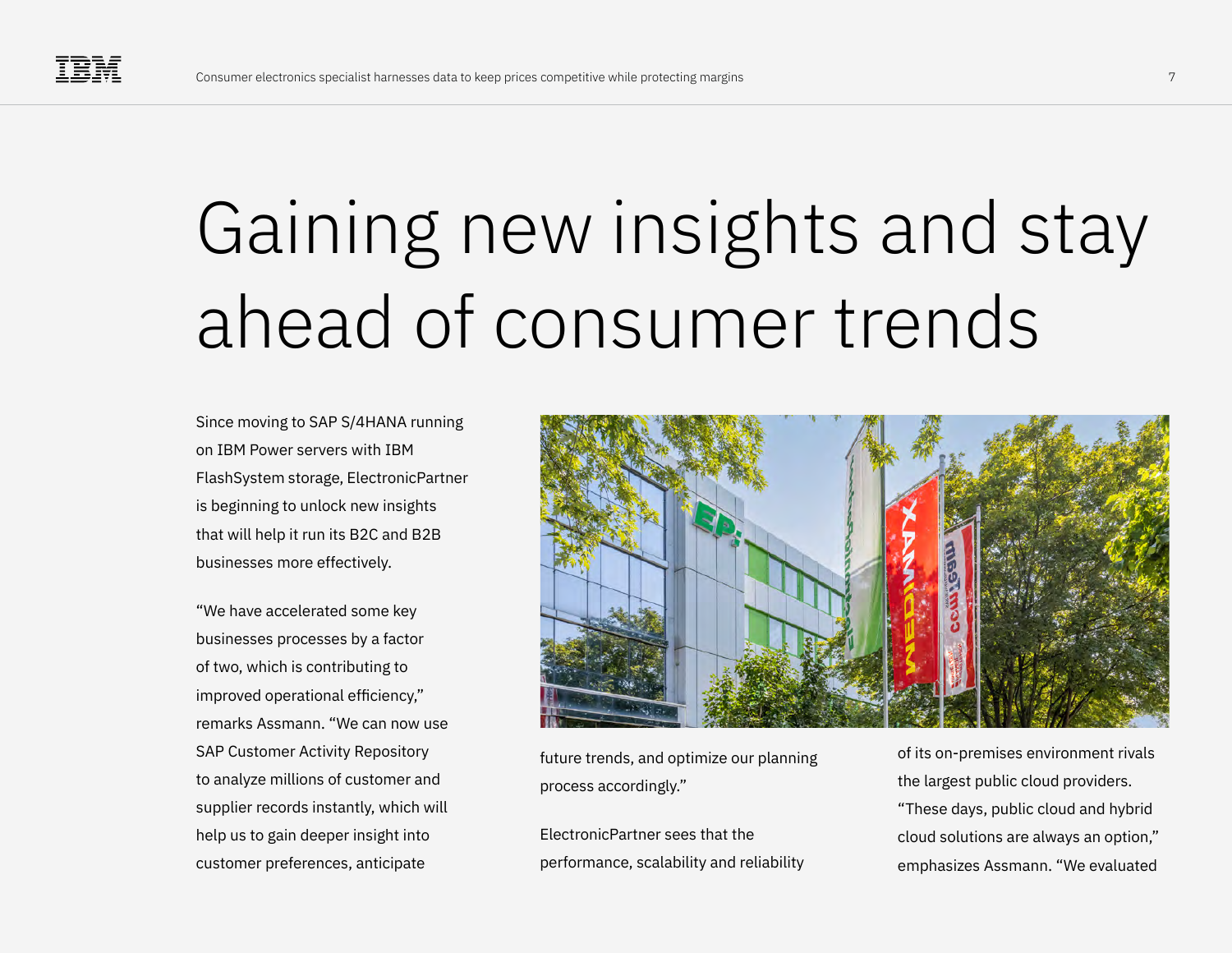### Gaining new insights and stay ahead of consumer trends

Since moving to SAP S/4HANA running on IBM Power servers with IBM FlashSystem storage, ElectronicPartner is beginning to unlock new insights that will help it run its B2C and B2B businesses more effectively.

"We have accelerated some key businesses processes by a factor of two, which is contributing to improved operational efficiency," remarks Assmann. "We can now use SAP Customer Activity Repository to analyze millions of customer and supplier records instantly, which will help us to gain deeper insight into customer preferences, anticipate



future trends, and optimize our planning process accordingly."

ElectronicPartner sees that the performance, scalability and reliability

of its on-premises environment rivals the largest public cloud providers. "These days, public cloud and hybrid cloud solutions are always an option," emphasizes Assmann. "We evaluated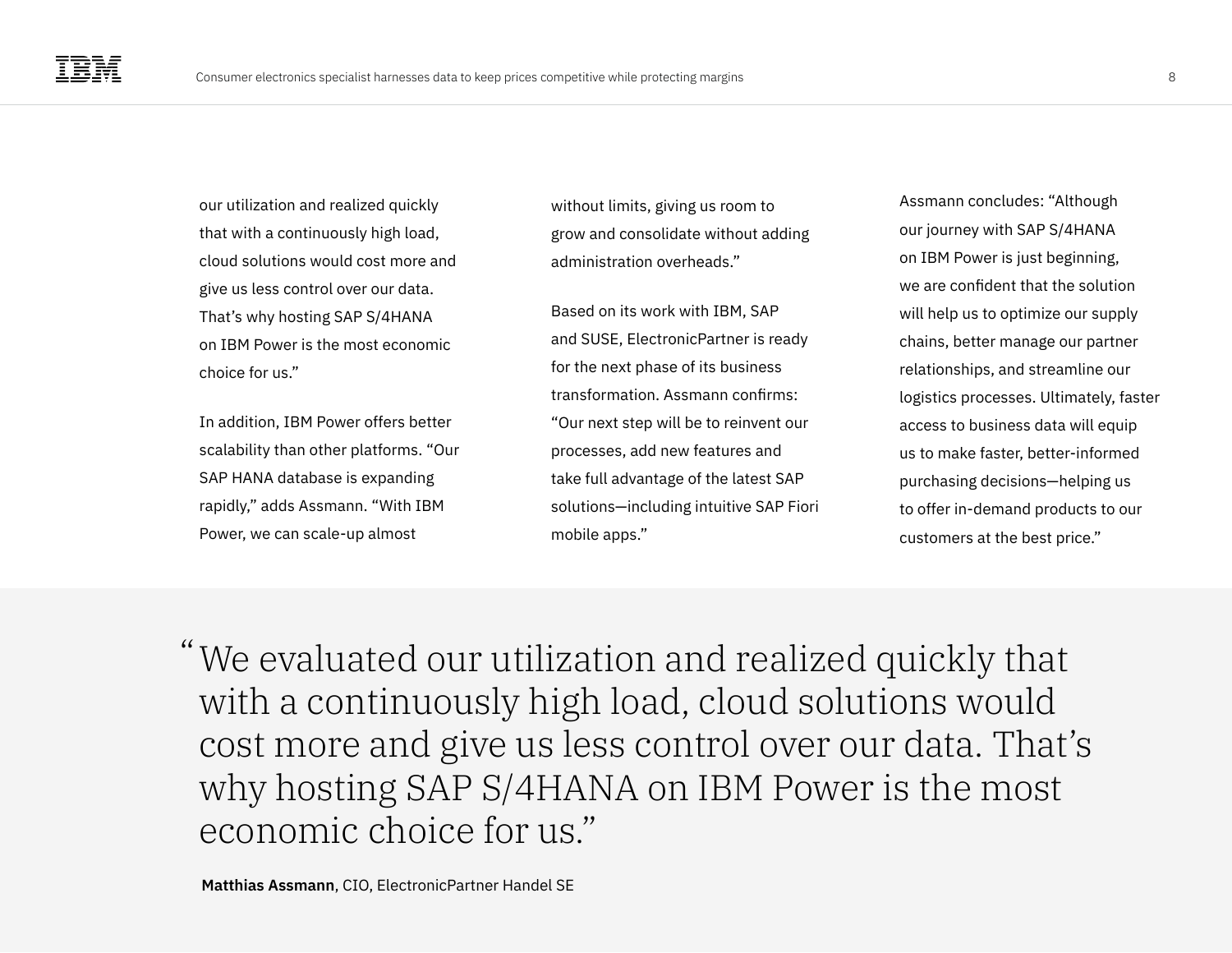our utilization and realized quickly that with a continuously high load, cloud solutions would cost more and give us less control over our data. That's why hosting SAP S/4HANA on IBM Power is the most economic choice for us."

In addition, IBM Power offers better scalability than other platforms. "Our SAP HANA database is expanding rapidly," adds Assmann. "With IBM Power, we can scale-up almost

without limits, giving us room to grow and consolidate without adding administration overheads."

Based on its work with IBM, SAP and SUSE, ElectronicPartner is ready for the next phase of its business transformation. Assmann confirms: "Our next step will be to reinvent our processes, add new features and take full advantage of the latest SAP solutions—including intuitive SAP Fiori mobile apps."

Assmann concludes: "Although our journey with SAP S/4HANA on IBM Power is just beginning, we are confident that the solution will help us to optimize our supply chains, better manage our partner relationships, and streamline our logistics processes. Ultimately, faster access to business data will equip us to make faster, better-informed purchasing decisions—helping us to offer in-demand products to our customers at the best price."

We evaluated our utilization and realized quickly that " with a continuously high load, cloud solutions would cost more and give us less control over our data. That's why hosting SAP S/4HANA on IBM Power is the most economic choice for us."